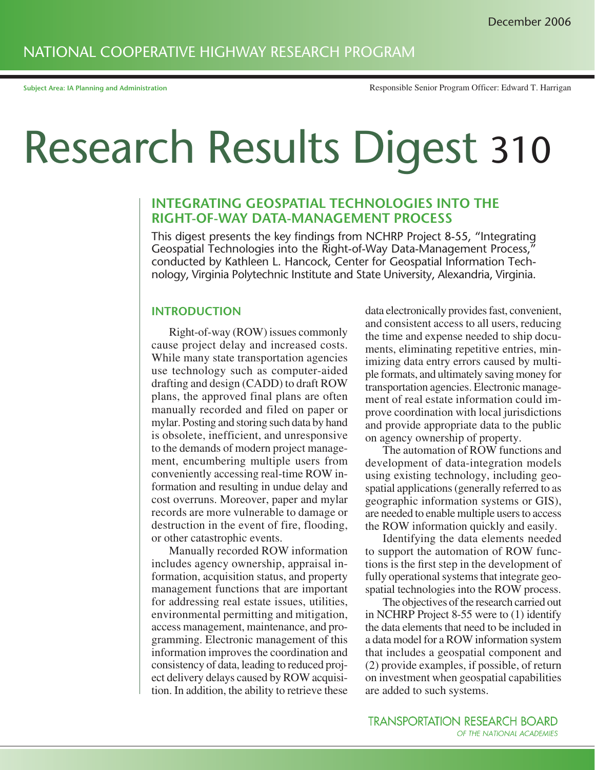# NATIONAL COOPERATIVE HIGHWAY RESEARCH PROGRAM

# Research Results Digest 310

## **INTEGRATING GEOSPATIAL TECHNOLOGIES INTO THE RIGHT-OF-WAY DATA-MANAGEMENT PROCESS**

This digest presents the key findings from NCHRP Project 8-55, "Integrating Geospatial Technologies into the Right-of-Way Data-Management Process," conducted by Kathleen L. Hancock, Center for Geospatial Information Technology, Virginia Polytechnic Institute and State University, Alexandria, Virginia.

#### **INTRODUCTION**

Right-of-way (ROW) issues commonly cause project delay and increased costs. While many state transportation agencies use technology such as computer-aided drafting and design (CADD) to draft ROW plans, the approved final plans are often manually recorded and filed on paper or mylar. Posting and storing such data by hand is obsolete, inefficient, and unresponsive to the demands of modern project management, encumbering multiple users from conveniently accessing real-time ROW information and resulting in undue delay and cost overruns. Moreover, paper and mylar records are more vulnerable to damage or destruction in the event of fire, flooding, or other catastrophic events.

Manually recorded ROW information includes agency ownership, appraisal information, acquisition status, and property management functions that are important for addressing real estate issues, utilities, environmental permitting and mitigation, access management, maintenance, and programming. Electronic management of this information improves the coordination and consistency of data, leading to reduced project delivery delays caused by ROW acquisition. In addition, the ability to retrieve these

data electronically provides fast, convenient, and consistent access to all users, reducing the time and expense needed to ship documents, eliminating repetitive entries, minimizing data entry errors caused by multiple formats, and ultimately saving money for transportation agencies. Electronic management of real estate information could improve coordination with local jurisdictions and provide appropriate data to the public on agency ownership of property.

The automation of ROW functions and development of data-integration models using existing technology, including geospatial applications (generally referred to as geographic information systems or GIS), are needed to enable multiple users to access the ROW information quickly and easily.

Identifying the data elements needed to support the automation of ROW functions is the first step in the development of fully operational systems that integrate geospatial technologies into the ROW process.

The objectives of the research carried out in NCHRP Project 8-55 were to (1) identify the data elements that need to be included in a data model for a ROW information system that includes a geospatial component and (2) provide examples, if possible, of return on investment when geospatial capabilities are added to such systems.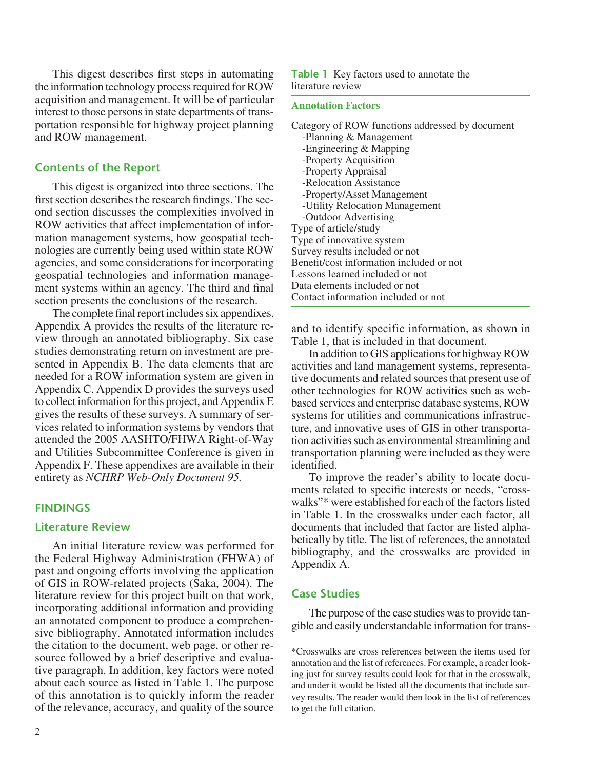This digest describes first steps in automating the information technology process required for ROW acquisition and management. It will be of particular interest to those persons in state departments of transportation responsible for highway project planning and ROW management.

## **Contents of the Report**

This digest is organized into three sections. The first section describes the research findings. The second section discusses the complexities involved in ROW activities that affect implementation of information management systems, how geospatial technologies are currently being used within state ROW agencies, and some considerations for incorporating geospatial technologies and information management systems within an agency. The third and final section presents the conclusions of the research.

The complete final report includes six appendixes. Appendix A provides the results of the literature review through an annotated bibliography. Six case studies demonstrating return on investment are presented in Appendix B. The data elements that are needed for a ROW information system are given in Appendix C. Appendix D provides the surveys used to collect information for this project, and Appendix E gives the results of these surveys. A summary of services related to information systems by vendors that attended the 2005 AASHTO/FHWA Right-of-Way and Utilities Subcommittee Conference is given in Appendix F. These appendixes are available in their entirety as *NCHRP Web-Only Document 95.*

## **FINDINGS**

#### **Literature Review**

An initial literature review was performed for the Federal Highway Administration (FHWA) of past and ongoing efforts involving the application of GIS in ROW-related projects (Saka, 2004). The literature review for this project built on that work, incorporating additional information and providing an annotated component to produce a comprehensive bibliography. Annotated information includes the citation to the document, web page, or other resource followed by a brief descriptive and evaluative paragraph. In addition, key factors were noted about each source as listed in Table 1. The purpose of this annotation is to quickly inform the reader of the relevance, accuracy, and quality of the source **Table 1** Key factors used to annotate the literature review

#### **Annotation Factors**

Category of ROW functions addressed by document -Planning & Management -Engineering & Mapping -Property Acquisition -Property Appraisal -Relocation Assistance -Property/Asset Management -Utility Relocation Management -Outdoor Advertising Type of article/study Type of innovative system Survey results included or not Benefit/cost information included or not Lessons learned included or not Data elements included or not Contact information included or not

and to identify specific information, as shown in Table 1, that is included in that document.

In addition to GIS applications for highway ROW activities and land management systems, representative documents and related sources that present use of other technologies for ROW activities such as webbased services and enterprise database systems, ROW systems for utilities and communications infrastructure, and innovative uses of GIS in other transportation activities such as environmental streamlining and transportation planning were included as they were identified.

To improve the reader's ability to locate documents related to specific interests or needs, "crosswalks"\* were established for each of the factors listed in Table 1. In the crosswalks under each factor, all documents that included that factor are listed alphabetically by title. The list of references, the annotated bibliography, and the crosswalks are provided in Appendix A.

## **Case Studies**

The purpose of the case studies was to provide tangible and easily understandable information for trans-

<sup>\*</sup>Crosswalks are cross references between the items used for annotation and the list of references. For example, a reader looking just for survey results could look for that in the crosswalk, and under it would be listed all the documents that include survey results. The reader would then look in the list of references to get the full citation.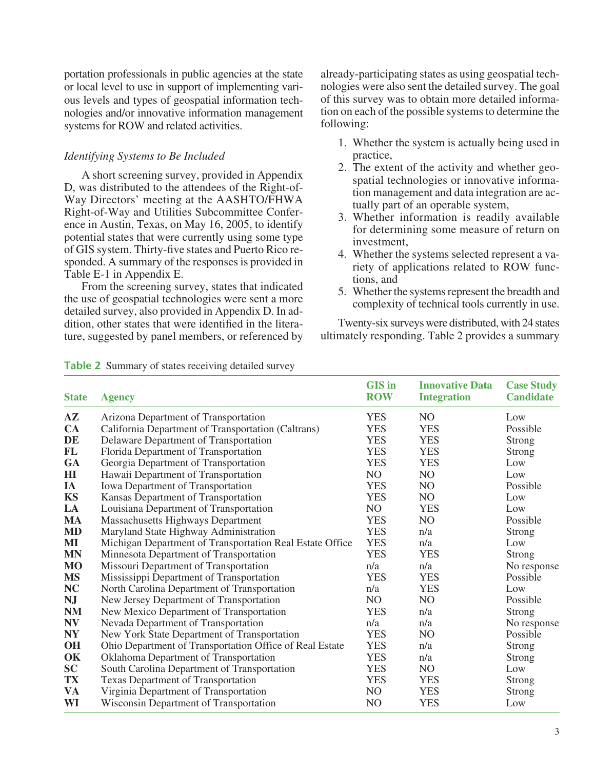portation professionals in public agencies at the state or local level to use in support of implementing various levels and types of geospatial information technologies and/or innovative information management systems for ROW and related activities.

## *Identifying Systems to Be Included*

A short screening survey, provided in Appendix D, was distributed to the attendees of the Right-of-Way Directors' meeting at the AASHTO/FHWA Right-of-Way and Utilities Subcommittee Conference in Austin, Texas, on May 16, 2005, to identify potential states that were currently using some type of GIS system. Thirty-five states and Puerto Rico responded. A summary of the responses is provided in Table E-1 in Appendix E.

From the screening survey, states that indicated the use of geospatial technologies were sent a more detailed survey, also provided in Appendix D. In addition, other states that were identified in the literature, suggested by panel members, or referenced by already-participating states as using geospatial technologies were also sent the detailed survey. The goal of this survey was to obtain more detailed information on each of the possible systems to determine the following:

- 1. Whether the system is actually being used in practice,
- 2. The extent of the activity and whether geospatial technologies or innovative information management and data integration are actually part of an operable system,
- 3. Whether information is readily available for determining some measure of return on investment,
- 4. Whether the systems selected represent a variety of applications related to ROW functions, and
- 5. Whether the systems represent the breadth and complexity of technical tools currently in use.

Twenty-six surveys were distributed, with 24 states ultimately responding. Table 2 provides a summary

| <b>State</b> | <b>Agency</b>                                            | <b>GIS</b> in<br><b>ROW</b> | <b>Innovative Data</b><br><b>Integration</b> | <b>Case Study</b><br><b>Candidate</b> |
|--------------|----------------------------------------------------------|-----------------------------|----------------------------------------------|---------------------------------------|
| ${\bf AZ}$   | Arizona Department of Transportation                     | <b>YES</b>                  | N <sub>O</sub>                               | Low                                   |
| CA           | California Department of Transportation (Caltrans)       | <b>YES</b>                  | <b>YES</b>                                   | Possible                              |
| DE           | Delaware Department of Transportation                    | <b>YES</b>                  | <b>YES</b>                                   | Strong                                |
| FL           | Florida Department of Transportation                     | <b>YES</b>                  | <b>YES</b>                                   | <b>Strong</b>                         |
| <b>GA</b>    | Georgia Department of Transportation                     | <b>YES</b>                  | <b>YES</b>                                   | Low                                   |
| HI           | Hawaii Department of Transportation                      | NO                          | N <sub>O</sub>                               | Low                                   |
| IA           | Iowa Department of Transportation                        | <b>YES</b>                  | N <sub>O</sub>                               | Possible                              |
| <b>KS</b>    | Kansas Department of Transportation                      | <b>YES</b>                  | N <sub>O</sub>                               | Low                                   |
| LA           | Louisiana Department of Transportation                   | NO                          | <b>YES</b>                                   | Low                                   |
| <b>MA</b>    | Massachusetts Highways Department                        | <b>YES</b>                  | N <sub>O</sub>                               | Possible                              |
| <b>MD</b>    | Maryland State Highway Administration                    | <b>YES</b>                  | n/a                                          | <b>Strong</b>                         |
| MI           | Michigan Department of Transportation Real Estate Office | <b>YES</b>                  | n/a                                          | Low                                   |
| <b>MN</b>    | Minnesota Department of Transportation                   | <b>YES</b>                  | <b>YES</b>                                   | <b>Strong</b>                         |
| <b>MO</b>    | Missouri Department of Transportation                    | n/a                         | n/a                                          | No response                           |
| <b>MS</b>    | Mississippi Department of Transportation                 | <b>YES</b>                  | <b>YES</b>                                   | Possible                              |
| NC           | North Carolina Department of Transportation              | n/a                         | <b>YES</b>                                   | Low                                   |
| <b>NJ</b>    | New Jersey Department of Transportation                  | NO                          | N <sub>O</sub>                               | Possible                              |
| <b>NM</b>    | New Mexico Department of Transportation                  | <b>YES</b>                  | n/a                                          | Strong                                |
| <b>NV</b>    | Nevada Department of Transportation                      | n/a                         | n/a                                          | No response                           |
| <b>NY</b>    | New York State Department of Transportation              | <b>YES</b>                  | NO                                           | Possible                              |
| OH           | Ohio Department of Transportation Office of Real Estate  | <b>YES</b>                  | n/a                                          | <b>Strong</b>                         |
| OK           | Oklahoma Department of Transportation                    | <b>YES</b>                  | n/a                                          | <b>Strong</b>                         |
| SC           | South Carolina Department of Transportation              | <b>YES</b>                  | NO                                           | Low                                   |
| <b>TX</b>    | <b>Texas Department of Transportation</b>                | <b>YES</b>                  | <b>YES</b>                                   | <b>Strong</b>                         |
| <b>VA</b>    | Virginia Department of Transportation                    | NO                          | <b>YES</b>                                   | Strong                                |
| WI           | Wisconsin Department of Transportation                   | NO                          | <b>YES</b>                                   | Low                                   |

**Table 2** Summary of states receiving detailed survey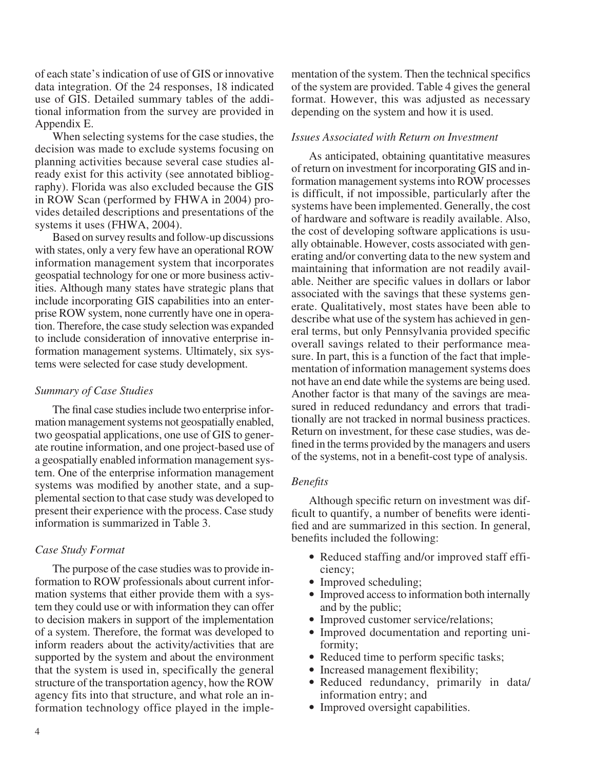of each state's indication of use of GIS or innovative data integration. Of the 24 responses, 18 indicated use of GIS. Detailed summary tables of the additional information from the survey are provided in Appendix E.

When selecting systems for the case studies, the decision was made to exclude systems focusing on planning activities because several case studies already exist for this activity (see annotated bibliography). Florida was also excluded because the GIS in ROW Scan (performed by FHWA in 2004) provides detailed descriptions and presentations of the systems it uses (FHWA, 2004).

Based on survey results and follow-up discussions with states, only a very few have an operational ROW information management system that incorporates geospatial technology for one or more business activities. Although many states have strategic plans that include incorporating GIS capabilities into an enterprise ROW system, none currently have one in operation. Therefore, the case study selection was expanded to include consideration of innovative enterprise information management systems. Ultimately, six systems were selected for case study development.

#### *Summary of Case Studies*

The final case studies include two enterprise information management systems not geospatially enabled, two geospatial applications, one use of GIS to generate routine information, and one project-based use of a geospatially enabled information management system. One of the enterprise information management systems was modified by another state, and a supplemental section to that case study was developed to present their experience with the process. Case study information is summarized in Table 3.

#### *Case Study Format*

The purpose of the case studies was to provide information to ROW professionals about current information systems that either provide them with a system they could use or with information they can offer to decision makers in support of the implementation of a system. Therefore, the format was developed to inform readers about the activity/activities that are supported by the system and about the environment that the system is used in, specifically the general structure of the transportation agency, how the ROW agency fits into that structure, and what role an information technology office played in the implementation of the system. Then the technical specifics of the system are provided. Table 4 gives the general format. However, this was adjusted as necessary depending on the system and how it is used.

#### *Issues Associated with Return on Investment*

As anticipated, obtaining quantitative measures of return on investment for incorporating GIS and information management systems into ROW processes is difficult, if not impossible, particularly after the systems have been implemented. Generally, the cost of hardware and software is readily available. Also, the cost of developing software applications is usually obtainable. However, costs associated with generating and/or converting data to the new system and maintaining that information are not readily available. Neither are specific values in dollars or labor associated with the savings that these systems generate. Qualitatively, most states have been able to describe what use of the system has achieved in general terms, but only Pennsylvania provided specific overall savings related to their performance measure. In part, this is a function of the fact that implementation of information management systems does not have an end date while the systems are being used. Another factor is that many of the savings are measured in reduced redundancy and errors that traditionally are not tracked in normal business practices. Return on investment, for these case studies, was defined in the terms provided by the managers and users of the systems, not in a benefit-cost type of analysis.

## *Benefits*

Although specific return on investment was difficult to quantify, a number of benefits were identified and are summarized in this section. In general, benefits included the following:

- Reduced staffing and/or improved staff efficiency;
- Improved scheduling;
- Improved access to information both internally and by the public;
- Improved customer service/relations;
- Improved documentation and reporting uniformity;
- Reduced time to perform specific tasks;
- Increased management flexibility;
- Reduced redundancy, primarily in data/ information entry; and
- Improved oversight capabilities.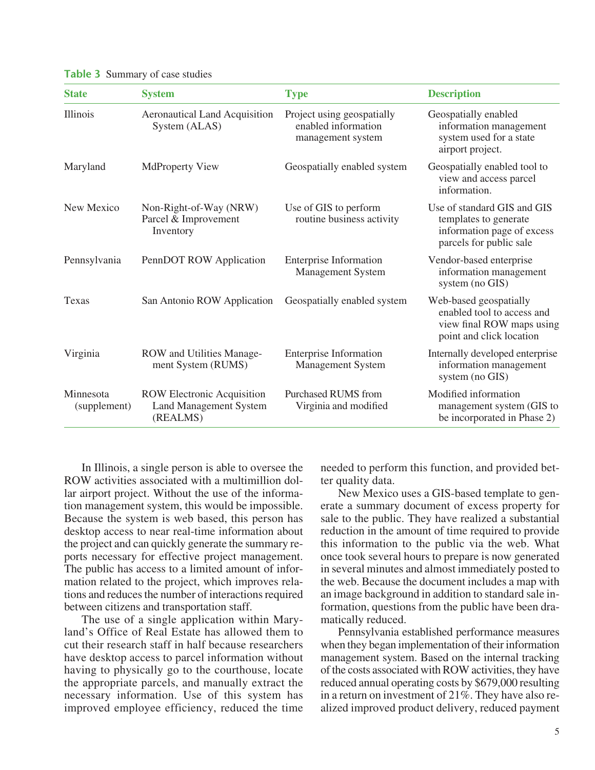| <b>State</b>              | <b>System</b>                                                                  | <b>Type</b>                                                            | <b>Description</b>                                                                                            |
|---------------------------|--------------------------------------------------------------------------------|------------------------------------------------------------------------|---------------------------------------------------------------------------------------------------------------|
| Illinois                  | <b>Aeronautical Land Acquisition</b><br>System (ALAS)                          | Project using geospatially<br>enabled information<br>management system | Geospatially enabled<br>information management<br>system used for a state<br>airport project.                 |
| Maryland                  | <b>MdProperty View</b>                                                         | Geospatially enabled system                                            | Geospatially enabled tool to<br>view and access parcel<br>information.                                        |
| New Mexico                | Non-Right-of-Way (NRW)<br>Parcel & Improvement<br>Inventory                    | Use of GIS to perform<br>routine business activity                     | Use of standard GIS and GIS<br>templates to generate<br>information page of excess<br>parcels for public sale |
| Pennsylvania              | PennDOT ROW Application                                                        | <b>Enterprise Information</b><br><b>Management System</b>              | Vendor-based enterprise<br>information management<br>system (no GIS)                                          |
| Texas                     | San Antonio ROW Application                                                    | Geospatially enabled system                                            | Web-based geospatially<br>enabled tool to access and<br>view final ROW maps using<br>point and click location |
| Virginia                  | ROW and Utilities Manage-<br>ment System (RUMS)                                | <b>Enterprise Information</b><br><b>Management System</b>              | Internally developed enterprise<br>information management<br>system (no GIS)                                  |
| Minnesota<br>(supplement) | <b>ROW Electronic Acquisition</b><br><b>Land Management System</b><br>(REALMS) | <b>Purchased RUMS from</b><br>Virginia and modified                    | Modified information<br>management system (GIS to<br>be incorporated in Phase 2)                              |

**Table 3** Summary of case studies

In Illinois, a single person is able to oversee the ROW activities associated with a multimillion dollar airport project. Without the use of the information management system, this would be impossible. Because the system is web based, this person has desktop access to near real-time information about the project and can quickly generate the summary reports necessary for effective project management. The public has access to a limited amount of information related to the project, which improves relations and reduces the number of interactions required between citizens and transportation staff.

The use of a single application within Maryland's Office of Real Estate has allowed them to cut their research staff in half because researchers have desktop access to parcel information without having to physically go to the courthouse, locate the appropriate parcels, and manually extract the necessary information. Use of this system has improved employee efficiency, reduced the time

needed to perform this function, and provided better quality data.

New Mexico uses a GIS-based template to generate a summary document of excess property for sale to the public. They have realized a substantial reduction in the amount of time required to provide this information to the public via the web. What once took several hours to prepare is now generated in several minutes and almost immediately posted to the web. Because the document includes a map with an image background in addition to standard sale information, questions from the public have been dramatically reduced.

Pennsylvania established performance measures when they began implementation of their information management system. Based on the internal tracking of the costs associated with ROW activities, they have reduced annual operating costs by \$679,000 resulting in a return on investment of 21%. They have also realized improved product delivery, reduced payment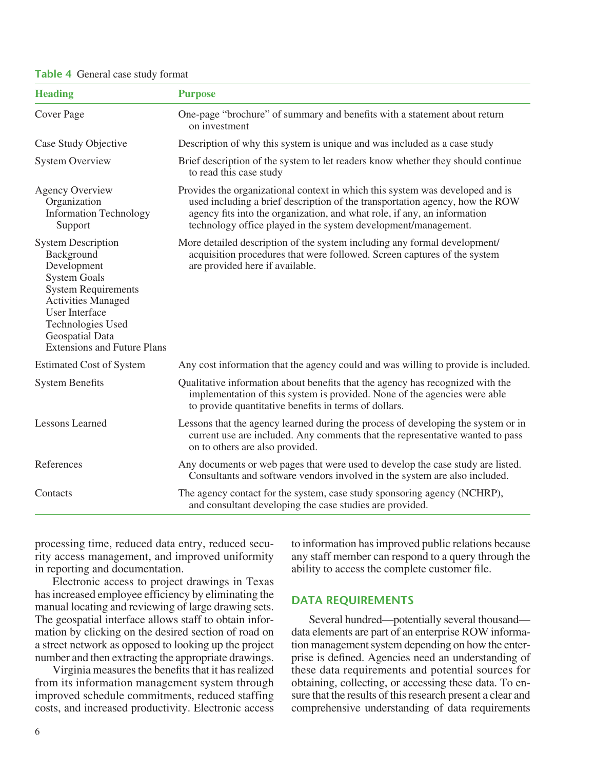#### **Table 4** General case study format

| <b>Heading</b>                                                                                                                                                                                                                                  | <b>Purpose</b>                                                                                                                                                                                                                                                                                              |  |
|-------------------------------------------------------------------------------------------------------------------------------------------------------------------------------------------------------------------------------------------------|-------------------------------------------------------------------------------------------------------------------------------------------------------------------------------------------------------------------------------------------------------------------------------------------------------------|--|
| Cover Page                                                                                                                                                                                                                                      | One-page "brochure" of summary and benefits with a statement about return<br>on investment                                                                                                                                                                                                                  |  |
| Case Study Objective                                                                                                                                                                                                                            | Description of why this system is unique and was included as a case study                                                                                                                                                                                                                                   |  |
| <b>System Overview</b>                                                                                                                                                                                                                          | Brief description of the system to let readers know whether they should continue<br>to read this case study                                                                                                                                                                                                 |  |
| <b>Agency Overview</b><br>Organization<br><b>Information Technology</b><br>Support                                                                                                                                                              | Provides the organizational context in which this system was developed and is<br>used including a brief description of the transportation agency, how the ROW<br>agency fits into the organization, and what role, if any, an information<br>technology office played in the system development/management. |  |
| <b>System Description</b><br>Background<br>Development<br><b>System Goals</b><br><b>System Requirements</b><br><b>Activities Managed</b><br><b>User Interface</b><br>Technologies Used<br>Geospatial Data<br><b>Extensions and Future Plans</b> | More detailed description of the system including any formal development/<br>acquisition procedures that were followed. Screen captures of the system<br>are provided here if available.                                                                                                                    |  |
| <b>Estimated Cost of System</b>                                                                                                                                                                                                                 | Any cost information that the agency could and was willing to provide is included.                                                                                                                                                                                                                          |  |
| <b>System Benefits</b>                                                                                                                                                                                                                          | Qualitative information about benefits that the agency has recognized with the<br>implementation of this system is provided. None of the agencies were able<br>to provide quantitative benefits in terms of dollars.                                                                                        |  |
| <b>Lessons Learned</b>                                                                                                                                                                                                                          | Lessons that the agency learned during the process of developing the system or in<br>current use are included. Any comments that the representative wanted to pass<br>on to others are also provided.                                                                                                       |  |
| References                                                                                                                                                                                                                                      | Any documents or web pages that were used to develop the case study are listed.<br>Consultants and software vendors involved in the system are also included.                                                                                                                                               |  |
| Contacts                                                                                                                                                                                                                                        | The agency contact for the system, case study sponsoring agency (NCHRP),<br>and consultant developing the case studies are provided.                                                                                                                                                                        |  |

processing time, reduced data entry, reduced security access management, and improved uniformity in reporting and documentation.

Electronic access to project drawings in Texas has increased employee efficiency by eliminating the manual locating and reviewing of large drawing sets. The geospatial interface allows staff to obtain information by clicking on the desired section of road on a street network as opposed to looking up the project number and then extracting the appropriate drawings.

Virginia measures the benefits that it has realized from its information management system through improved schedule commitments, reduced staffing costs, and increased productivity. Electronic access to information has improved public relations because any staff member can respond to a query through the ability to access the complete customer file.

#### **DATA REQUIREMENTS**

Several hundred—potentially several thousand data elements are part of an enterprise ROW information management system depending on how the enterprise is defined. Agencies need an understanding of these data requirements and potential sources for obtaining, collecting, or accessing these data. To ensure that the results of this research present a clear and comprehensive understanding of data requirements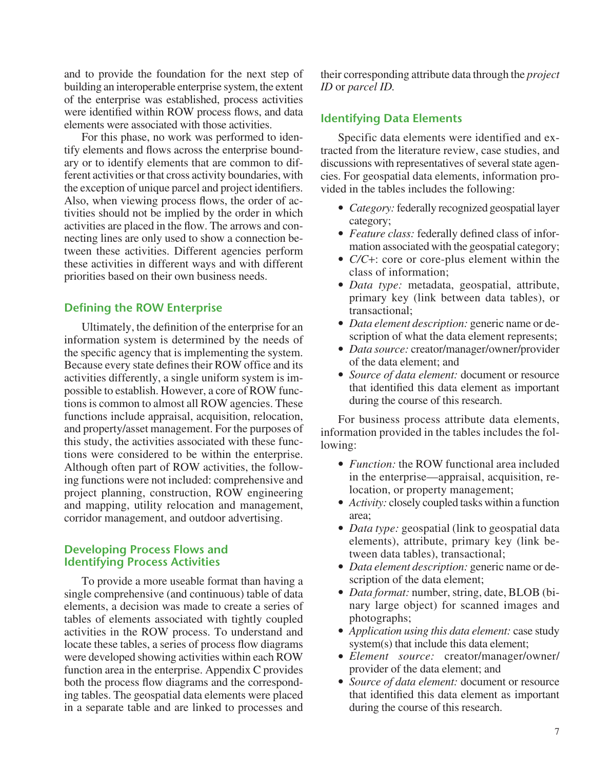and to provide the foundation for the next step of building an interoperable enterprise system, the extent of the enterprise was established, process activities were identified within ROW process flows, and data elements were associated with those activities.

For this phase, no work was performed to identify elements and flows across the enterprise boundary or to identify elements that are common to different activities or that cross activity boundaries, with the exception of unique parcel and project identifiers. Also, when viewing process flows, the order of activities should not be implied by the order in which activities are placed in the flow. The arrows and connecting lines are only used to show a connection between these activities. Different agencies perform these activities in different ways and with different priorities based on their own business needs.

## **Defining the ROW Enterprise**

Ultimately, the definition of the enterprise for an information system is determined by the needs of the specific agency that is implementing the system. Because every state defines their ROW office and its activities differently, a single uniform system is impossible to establish. However, a core of ROW functions is common to almost all ROW agencies. These functions include appraisal, acquisition, relocation, and property/asset management. For the purposes of this study, the activities associated with these functions were considered to be within the enterprise. Although often part of ROW activities, the following functions were not included: comprehensive and project planning, construction, ROW engineering and mapping, utility relocation and management, corridor management, and outdoor advertising.

## **Developing Process Flows and Identifying Process Activities**

To provide a more useable format than having a single comprehensive (and continuous) table of data elements, a decision was made to create a series of tables of elements associated with tightly coupled activities in the ROW process. To understand and locate these tables, a series of process flow diagrams were developed showing activities within each ROW function area in the enterprise. Appendix C provides both the process flow diagrams and the corresponding tables. The geospatial data elements were placed in a separate table and are linked to processes and their corresponding attribute data through the *project ID* or *parcel ID.*

## **Identifying Data Elements**

Specific data elements were identified and extracted from the literature review, case studies, and discussions with representatives of several state agencies. For geospatial data elements, information provided in the tables includes the following:

- *Category:* federally recognized geospatial layer category;
- *Feature class:* federally defined class of information associated with the geospatial category;
- *C/C*+: core or core-plus element within the class of information;
- *Data type:* metadata, geospatial, attribute, primary key (link between data tables), or transactional;
- *Data element description:* generic name or description of what the data element represents;
- *Data source:* creator/manager/owner/provider of the data element; and
- *Source of data element:* document or resource that identified this data element as important during the course of this research.

For business process attribute data elements, information provided in the tables includes the following:

- *Function:* the ROW functional area included in the enterprise—appraisal, acquisition, relocation, or property management;
- *Activity:* closely coupled tasks within a function area;
- *Data type:* geospatial (link to geospatial data elements), attribute, primary key (link between data tables), transactional;
- *Data element description:* generic name or description of the data element;
- *Data format:* number, string, date, BLOB (binary large object) for scanned images and photographs;
- *Application using this data element:* case study system(s) that include this data element;
- *Element source:* creator/manager/owner/ provider of the data element; and
- *Source of data element:* document or resource that identified this data element as important during the course of this research.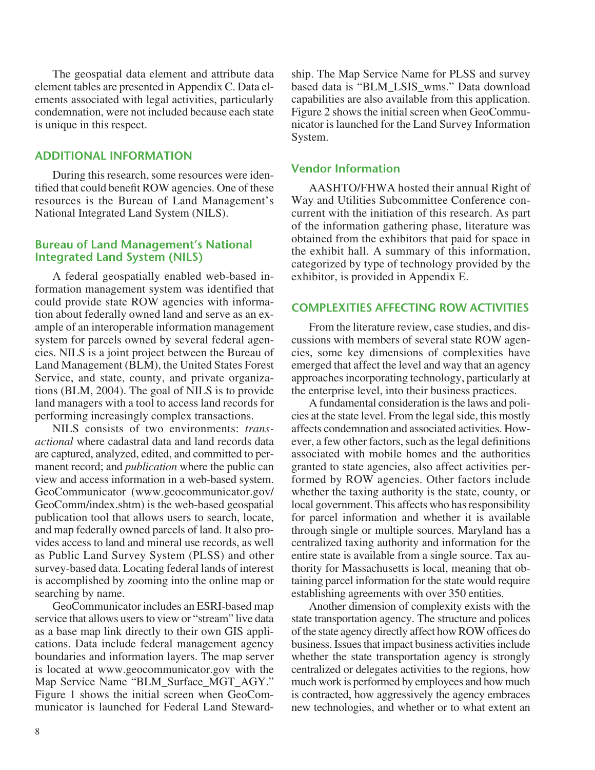The geospatial data element and attribute data element tables are presented in Appendix C. Data elements associated with legal activities, particularly condemnation, were not included because each state is unique in this respect.

#### **ADDITIONAL INFORMATION**

During this research, some resources were identified that could benefit ROW agencies. One of these resources is the Bureau of Land Management's National Integrated Land System (NILS).

#### **Bureau of Land Management's National Integrated Land System (NILS)**

A federal geospatially enabled web-based information management system was identified that could provide state ROW agencies with information about federally owned land and serve as an example of an interoperable information management system for parcels owned by several federal agencies. NILS is a joint project between the Bureau of Land Management (BLM), the United States Forest Service, and state, county, and private organizations (BLM, 2004). The goal of NILS is to provide land managers with a tool to access land records for performing increasingly complex transactions.

NILS consists of two environments: *transactional* where cadastral data and land records data are captured, analyzed, edited, and committed to permanent record; and *publication* where the public can view and access information in a web-based system. GeoCommunicator (www.geocommunicator.gov/ GeoComm/index.shtm) is the web-based geospatial publication tool that allows users to search, locate, and map federally owned parcels of land. It also provides access to land and mineral use records, as well as Public Land Survey System (PLSS) and other survey-based data. Locating federal lands of interest is accomplished by zooming into the online map or searching by name.

GeoCommunicator includes an ESRI-based map service that allows users to view or "stream" live data as a base map link directly to their own GIS applications. Data include federal management agency boundaries and information layers. The map server is located at www.geocommunicator.gov with the Map Service Name "BLM\_Surface\_MGT\_AGY." Figure 1 shows the initial screen when GeoCommunicator is launched for Federal Land Stewardship. The Map Service Name for PLSS and survey based data is "BLM\_LSIS\_wms." Data download capabilities are also available from this application. Figure 2 shows the initial screen when GeoCommunicator is launched for the Land Survey Information System.

#### **Vendor Information**

AASHTO/FHWA hosted their annual Right of Way and Utilities Subcommittee Conference concurrent with the initiation of this research. As part of the information gathering phase, literature was obtained from the exhibitors that paid for space in the exhibit hall. A summary of this information, categorized by type of technology provided by the exhibitor, is provided in Appendix E.

#### **COMPLEXITIES AFFECTING ROW ACTIVITIES**

From the literature review, case studies, and discussions with members of several state ROW agencies, some key dimensions of complexities have emerged that affect the level and way that an agency approaches incorporating technology, particularly at the enterprise level, into their business practices.

A fundamental consideration is the laws and policies at the state level. From the legal side, this mostly affects condemnation and associated activities. However, a few other factors, such as the legal definitions associated with mobile homes and the authorities granted to state agencies, also affect activities performed by ROW agencies. Other factors include whether the taxing authority is the state, county, or local government. This affects who has responsibility for parcel information and whether it is available through single or multiple sources. Maryland has a centralized taxing authority and information for the entire state is available from a single source. Tax authority for Massachusetts is local, meaning that obtaining parcel information for the state would require establishing agreements with over 350 entities.

Another dimension of complexity exists with the state transportation agency. The structure and polices of the state agency directly affect how ROW offices do business. Issues that impact business activities include whether the state transportation agency is strongly centralized or delegates activities to the regions, how much work is performed by employees and how much is contracted, how aggressively the agency embraces new technologies, and whether or to what extent an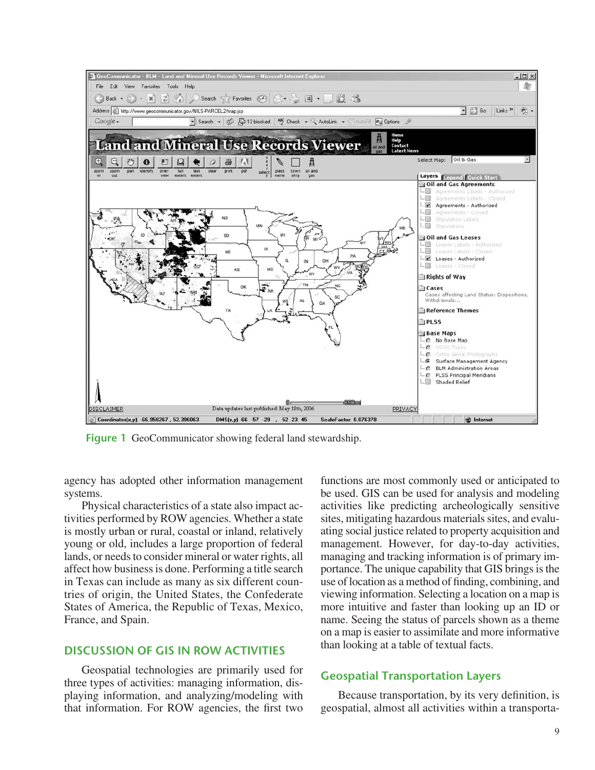

**Figure 1** GeoCommunicator showing federal land stewardship.

agency has adopted other information management systems.

Physical characteristics of a state also impact activities performed by ROW agencies. Whether a state is mostly urban or rural, coastal or inland, relatively young or old, includes a large proportion of federal lands, or needs to consider mineral or water rights, all affect how business is done. Performing a title search in Texas can include as many as six different countries of origin, the United States, the Confederate States of America, the Republic of Texas, Mexico, France, and Spain.

#### **DISCUSSION OF GIS IN ROW ACTIVITIES**

Geospatial technologies are primarily used for three types of activities: managing information, displaying information, and analyzing/modeling with that information. For ROW agencies, the first two

functions are most commonly used or anticipated to be used. GIS can be used for analysis and modeling activities like predicting archeologically sensitive sites, mitigating hazardous materials sites, and evaluating social justice related to property acquisition and management. However, for day-to-day activities, managing and tracking information is of primary importance. The unique capability that GIS brings is the use of location as a method of finding, combining, and viewing information. Selecting a location on a map is more intuitive and faster than looking up an ID or name. Seeing the status of parcels shown as a theme on a map is easier to assimilate and more informative than looking at a table of textual facts.

#### **Geospatial Transportation Layers**

Because transportation, by its very definition, is geospatial, almost all activities within a transporta-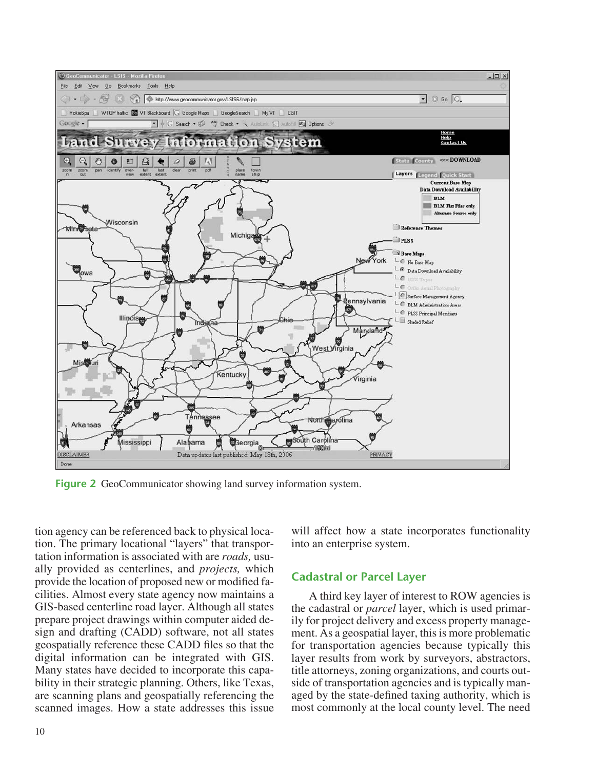

**Figure 2** GeoCommunicator showing land survey information system.

tion agency can be referenced back to physical location. The primary locational "layers" that transportation information is associated with are *roads,* usually provided as centerlines, and *projects,* which provide the location of proposed new or modified facilities. Almost every state agency now maintains a GIS-based centerline road layer. Although all states prepare project drawings within computer aided design and drafting (CADD) software, not all states geospatially reference these CADD files so that the digital information can be integrated with GIS. Many states have decided to incorporate this capability in their strategic planning. Others, like Texas, are scanning plans and geospatially referencing the scanned images. How a state addresses this issue will affect how a state incorporates functionality into an enterprise system.

#### **Cadastral or Parcel Layer**

A third key layer of interest to ROW agencies is the cadastral or *parcel* layer, which is used primarily for project delivery and excess property management. As a geospatial layer, this is more problematic for transportation agencies because typically this layer results from work by surveyors, abstractors, title attorneys, zoning organizations, and courts outside of transportation agencies and is typically managed by the state-defined taxing authority, which is most commonly at the local county level. The need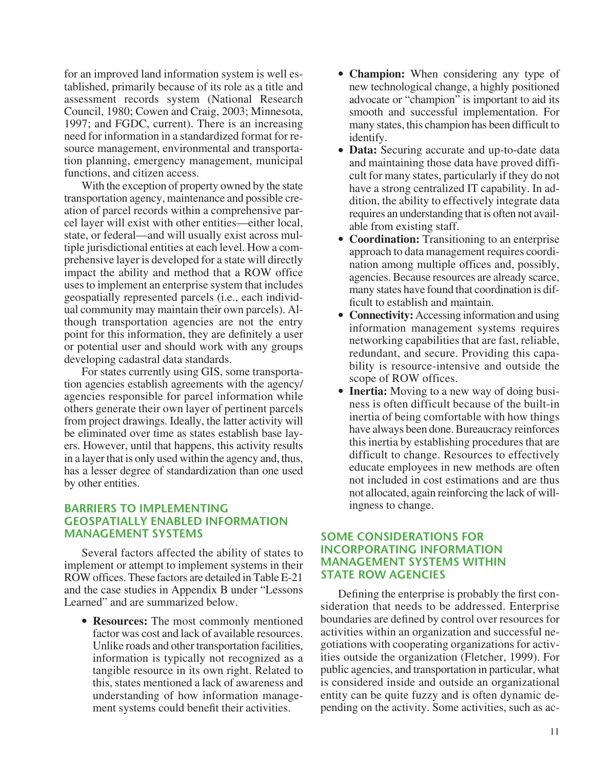for an improved land information system is well established, primarily because of its role as a title and assessment records system (National Research Council, 1980; Cowen and Craig, 2003; Minnesota, 1997; and FGDC, current). There is an increasing need for information in a standardized format for resource management, environmental and transportation planning, emergency management, municipal functions, and citizen access.

With the exception of property owned by the state transportation agency, maintenance and possible creation of parcel records within a comprehensive parcel layer will exist with other entities—either local, state, or federal—and will usually exist across multiple jurisdictional entities at each level. How a comprehensive layer is developed for a state will directly impact the ability and method that a ROW office uses to implement an enterprise system that includes geospatially represented parcels (i.e., each individual community may maintain their own parcels). Although transportation agencies are not the entry point for this information, they are definitely a user or potential user and should work with any groups developing cadastral data standards.

For states currently using GIS, some transportation agencies establish agreements with the agency/ agencies responsible for parcel information while others generate their own layer of pertinent parcels from project drawings. Ideally, the latter activity will be eliminated over time as states establish base layers. However, until that happens, this activity results in a layer that is only used within the agency and, thus, has a lesser degree of standardization than one used by other entities.

## **BARRIERS TO IMPLEMENTING GEOSPATIALLY ENABLED INFORMATION MANAGEMENT SYSTEMS**

Several factors affected the ability of states to implement or attempt to implement systems in their ROW offices. These factors are detailed in Table E-21 and the case studies in Appendix B under "Lessons Learned" and are summarized below.

• **Resources:** The most commonly mentioned factor was cost and lack of available resources. Unlike roads and other transportation facilities, information is typically not recognized as a tangible resource in its own right. Related to this, states mentioned a lack of awareness and understanding of how information management systems could benefit their activities.

- **Champion:** When considering any type of new technological change, a highly positioned advocate or "champion" is important to aid its smooth and successful implementation. For many states, this champion has been difficult to identify.
- **Data:** Securing accurate and up-to-date data and maintaining those data have proved difficult for many states, particularly if they do not have a strong centralized IT capability. In addition, the ability to effectively integrate data requires an understanding that is often not available from existing staff.
- **Coordination:** Transitioning to an enterprise approach to data management requires coordination among multiple offices and, possibly, agencies. Because resources are already scarce, many states have found that coordination is difficult to establish and maintain.
- **Connectivity:** Accessing information and using information management systems requires networking capabilities that are fast, reliable, redundant, and secure. Providing this capability is resource-intensive and outside the scope of ROW offices.
- **Inertia:** Moving to a new way of doing business is often difficult because of the built-in inertia of being comfortable with how things have always been done. Bureaucracy reinforces this inertia by establishing procedures that are difficult to change. Resources to effectively educate employees in new methods are often not included in cost estimations and are thus not allocated, again reinforcing the lack of willingness to change.

#### **SOME CONSIDERATIONS FOR INCORPORATING INFORMATION MANAGEMENT SYSTEMS WITHIN STATE ROW AGENCIES**

Defining the enterprise is probably the first consideration that needs to be addressed. Enterprise boundaries are defined by control over resources for activities within an organization and successful negotiations with cooperating organizations for activities outside the organization (Fletcher, 1999). For public agencies, and transportation in particular, what is considered inside and outside an organizational entity can be quite fuzzy and is often dynamic depending on the activity. Some activities, such as ac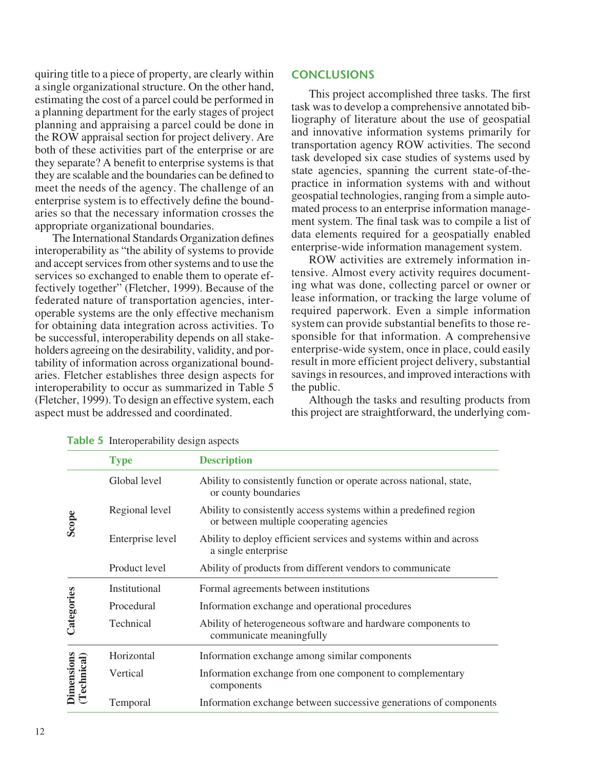quiring title to a piece of property, are clearly within a single organizational structure. On the other hand, estimating the cost of a parcel could be performed in a planning department for the early stages of project planning and appraising a parcel could be done in the ROW appraisal section for project delivery. Are both of these activities part of the enterprise or are they separate? A benefit to enterprise systems is that they are scalable and the boundaries can be defined to meet the needs of the agency. The challenge of an enterprise system is to effectively define the boundaries so that the necessary information crosses the appropriate organizational boundaries.

The International Standards Organization defines interoperability as "the ability of systems to provide and accept services from other systems and to use the services so exchanged to enable them to operate effectively together" (Fletcher, 1999). Because of the federated nature of transportation agencies, interoperable systems are the only effective mechanism for obtaining data integration across activities. To be successful, interoperability depends on all stakeholders agreeing on the desirability, validity, and portability of information across organizational boundaries. Fletcher establishes three design aspects for interoperability to occur as summarized in Table 5 (Fletcher, 1999). To design an effective system, each aspect must be addressed and coordinated.

#### **CONCLUSIONS**

This project accomplished three tasks. The first task was to develop a comprehensive annotated bibliography of literature about the use of geospatial and innovative information systems primarily for transportation agency ROW activities. The second task developed six case studies of systems used by state agencies, spanning the current state-of-thepractice in information systems with and without geospatial technologies, ranging from a simple automated process to an enterprise information management system. The final task was to compile a list of data elements required for a geospatially enabled enterprise-wide information management system.

ROW activities are extremely information intensive. Almost every activity requires documenting what was done, collecting parcel or owner or lease information, or tracking the large volume of required paperwork. Even a simple information system can provide substantial benefits to those responsible for that information. A comprehensive enterprise-wide system, once in place, could easily result in more efficient project delivery, substantial savings in resources, and improved interactions with the public.

Although the tasks and resulting products from this project are straightforward, the underlying com-

|                           | <b>Type</b>      | <b>Description</b>                                                                                            |  |
|---------------------------|------------------|---------------------------------------------------------------------------------------------------------------|--|
|                           | Global level     | Ability to consistently function or operate across national, state,<br>or county boundaries                   |  |
| Scope                     | Regional level   | Ability to consistently access systems within a predefined region<br>or between multiple cooperating agencies |  |
|                           | Enterprise level | Ability to deploy efficient services and systems within and across<br>a single enterprise                     |  |
|                           | Product level    | Ability of products from different vendors to communicate                                                     |  |
|                           | Institutional    | Formal agreements between institutions                                                                        |  |
|                           | Procedural       | Information exchange and operational procedures                                                               |  |
| Categories                | Technical        | Ability of heterogeneous software and hardware components to<br>communicate meaningfully                      |  |
|                           | Horizontal       | Information exchange among similar components                                                                 |  |
| Dimensions<br>(Technical) | Vertical         | Information exchange from one component to complementary<br>components                                        |  |
|                           | Temporal         | Information exchange between successive generations of components                                             |  |

**Table 5** Interoperability design aspects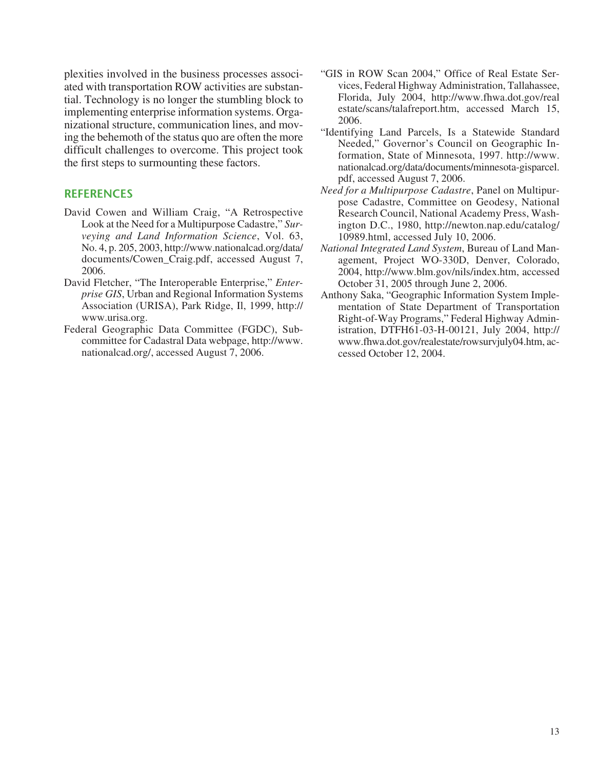plexities involved in the business processes associated with transportation ROW activities are substantial. Technology is no longer the stumbling block to implementing enterprise information systems. Organizational structure, communication lines, and moving the behemoth of the status quo are often the more difficult challenges to overcome. This project took the first steps to surmounting these factors.

## **REFERENCES**

- David Cowen and William Craig, "A Retrospective Look at the Need for a Multipurpose Cadastre," *Surveying and Land Information Science*, Vol. 63, No. 4, p. 205, 2003, http://www.nationalcad.org/data/ documents/Cowen\_Craig.pdf, accessed August 7, 2006.
- David Fletcher, "The Interoperable Enterprise," *Enterprise GIS*, Urban and Regional Information Systems Association (URISA), Park Ridge, Il, 1999, http:// www.urisa.org.
- Federal Geographic Data Committee (FGDC), Subcommittee for Cadastral Data webpage, http://www. nationalcad.org/, accessed August 7, 2006.
- "GIS in ROW Scan 2004," Office of Real Estate Services, Federal Highway Administration, Tallahassee, Florida, July 2004, http://www.fhwa.dot.gov/real estate/scans/talafreport.htm, accessed March 15, 2006.
- "Identifying Land Parcels, Is a Statewide Standard Needed," Governor's Council on Geographic Information, State of Minnesota, 1997. http://www. nationalcad.org/data/documents/minnesota-gisparcel. pdf, accessed August 7, 2006.
- *Need for a Multipurpose Cadastre*, Panel on Multipurpose Cadastre, Committee on Geodesy, National Research Council, National Academy Press, Washington D.C., 1980, http://newton.nap.edu/catalog/ 10989.html, accessed July 10, 2006.
- *National Integrated Land System*, Bureau of Land Management, Project WO-330D, Denver, Colorado, 2004, http://www.blm.gov/nils/index.htm, accessed October 31, 2005 through June 2, 2006.
- Anthony Saka, "Geographic Information System Implementation of State Department of Transportation Right-of-Way Programs," Federal Highway Administration, DTFH61-03-H-00121, July 2004, http:// www.fhwa.dot.gov/realestate/rowsurvjuly04.htm, accessed October 12, 2004.